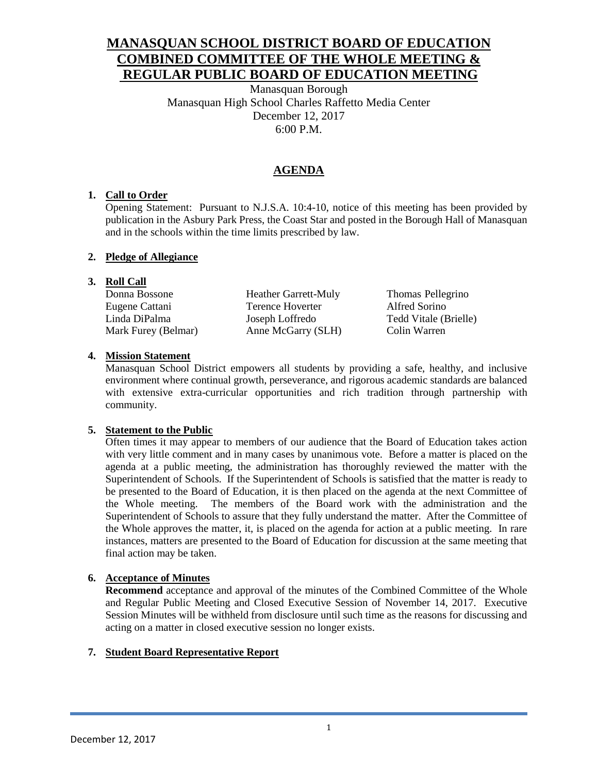## **MANASQUAN SCHOOL DISTRICT BOARD OF EDUCATION COMBINED COMMITTEE OF THE WHOLE MEETING & REGULAR PUBLIC BOARD OF EDUCATION MEETING**

Manasquan Borough Manasquan High School Charles Raffetto Media Center December 12, 2017 6:00 P.M.

## **AGENDA**

## **1. Call to Order**

Opening Statement: Pursuant to N.J.S.A. 10:4-10, notice of this meeting has been provided by publication in the Asbury Park Press, the Coast Star and posted in the Borough Hall of Manasquan and in the schools within the time limits prescribed by law.

## **2. Pledge of Allegiance**

## **3. Roll Call**

| Donna Bossone       | <b>Heather Garrett-Muly</b> | Thomas Pellegrino     |
|---------------------|-----------------------------|-----------------------|
| Eugene Cattani      | Terence Hoverter            | Alfred Sorino         |
| Linda DiPalma       | Joseph Loffredo             | Tedd Vitale (Brielle) |
| Mark Furey (Belmar) | Anne McGarry (SLH)          | Colin Warren          |
|                     |                             |                       |

## **4. Mission Statement**

Manasquan School District empowers all students by providing a safe, healthy, and inclusive environment where continual growth, perseverance, and rigorous academic standards are balanced with extensive extra-curricular opportunities and rich tradition through partnership with community.

## **5. Statement to the Public**

Often times it may appear to members of our audience that the Board of Education takes action with very little comment and in many cases by unanimous vote. Before a matter is placed on the agenda at a public meeting, the administration has thoroughly reviewed the matter with the Superintendent of Schools. If the Superintendent of Schools is satisfied that the matter is ready to be presented to the Board of Education, it is then placed on the agenda at the next Committee of the Whole meeting. The members of the Board work with the administration and the Superintendent of Schools to assure that they fully understand the matter. After the Committee of the Whole approves the matter, it, is placed on the agenda for action at a public meeting. In rare instances, matters are presented to the Board of Education for discussion at the same meeting that final action may be taken.

## **6. Acceptance of Minutes**

**Recommend** acceptance and approval of the minutes of the Combined Committee of the Whole and Regular Public Meeting and Closed Executive Session of November 14, 2017. Executive Session Minutes will be withheld from disclosure until such time as the reasons for discussing and acting on a matter in closed executive session no longer exists.

## **7. Student Board Representative Report**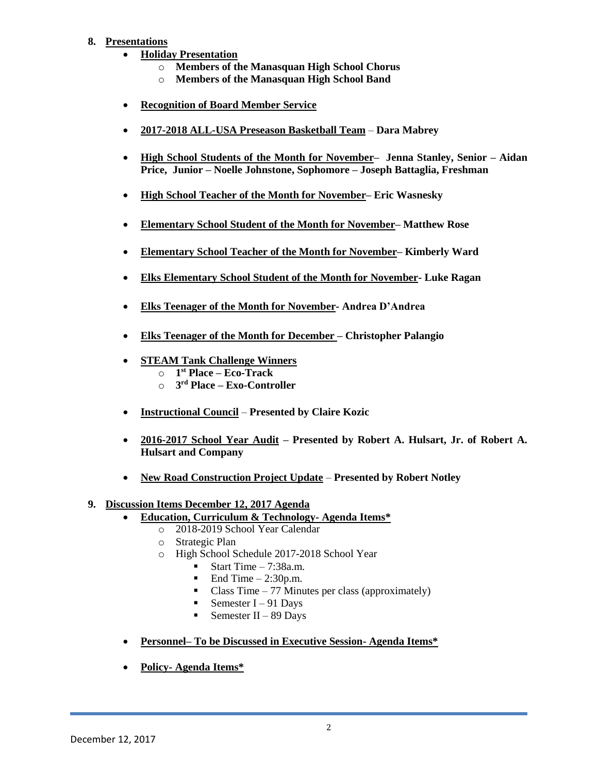## **8. Presentations**

- **Holiday Presentation** 
	- o **Members of the Manasquan High School Chorus**
	- o **Members of the Manasquan High School Band**
- **Recognition of Board Member Service**
- **2017-2018 ALL-USA Preseason Basketball Team Dara Mabrey**
- **High School Students of the Month for November– Jenna Stanley, Senior – Aidan Price, Junior – Noelle Johnstone, Sophomore – Joseph Battaglia, Freshman**
- **High School Teacher of the Month for November– Eric Wasnesky**
- **Elementary School Student of the Month for November– Matthew Rose**
- **Elementary School Teacher of the Month for November– Kimberly Ward**
- **Elks Elementary School Student of the Month for November- Luke Ragan**
- **Elks Teenager of the Month for November- Andrea D'Andrea**
- **Elks Teenager of the Month for December – Christopher Palangio**
- **STEAM Tank Challenge Winners**
	- o **1 st Place – Eco-Track**
	- o **3 rd Place – Exo-Controller**
- **Instructional Council Presented by Claire Kozic**
- **2016-2017 School Year Audit – Presented by Robert A. Hulsart, Jr. of Robert A. Hulsart and Company**
- **New Road Construction Project Update Presented by Robert Notley**

## **9. Discussion Items December 12, 2017 Agenda**

- **Education, Curriculum & Technology- Agenda Items\*** 
	- o 2018-2019 School Year Calendar
	- o Strategic Plan
	- o High School Schedule 2017-2018 School Year
		- Start Time  $-7:38a.m.$
		- $\blacksquare$  End Time  $-2:30p.m.$
		- Class Time  $-77$  Minutes per class (approximately)
		- Semester  $I 91$  Days
		- Semester II 89 Days
- **Personnel– To be Discussed in Executive Session- Agenda Items\***
- **Policy- Agenda Items\***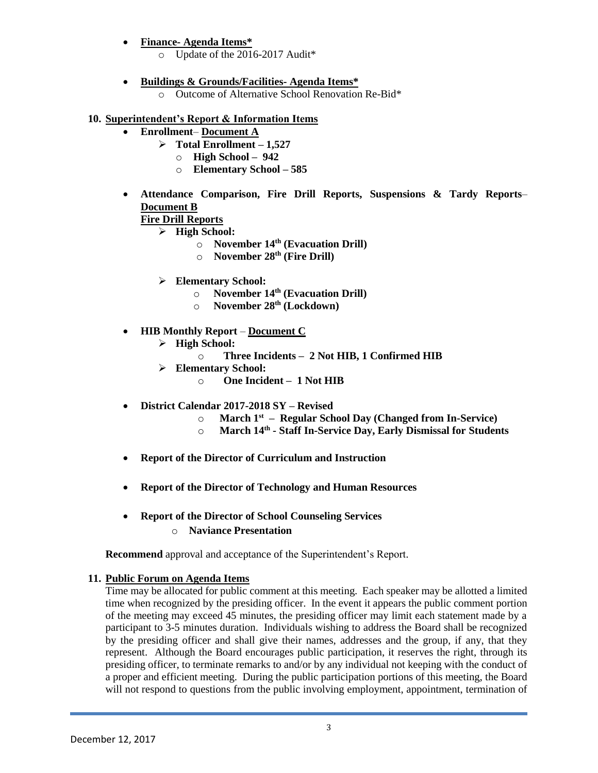- **Finance- Agenda Items\***
	- o Update of the 2016-2017 Audit\*
- **Buildings & Grounds/Facilities- Agenda Items\***
	- o Outcome of Alternative School Renovation Re-Bid\*

### **10. Superintendent's Report & Information Items**

- **Enrollment Document A**
	- **Total Enrollment – 1,527**
		- o **High School – 942**
		- o **Elementary School – 585**
- **Attendance Comparison, Fire Drill Reports, Suspensions & Tardy Reports Document B**

## **Fire Drill Reports**

- **High School:**
	- o **November 14th (Evacuation Drill)**
	- o **November 28th (Fire Drill)**
- **Elementary School:**
	- o **November 14th (Evacuation Drill)**
	- o **November 28th (Lockdown)**
- **HIB Monthly Report Document C**
	- **High School:**
		- o **Three Incidents 2 Not HIB, 1 Confirmed HIB**
	- **Elementary School:**
		- o **One Incident 1 Not HIB**
- **District Calendar 2017-2018 SY – Revised** 
	- o **March 1st Regular School Day (Changed from In-Service)**
	- o **March 14th - Staff In-Service Day, Early Dismissal for Students**
- **Report of the Director of Curriculum and Instruction**
- **Report of the Director of Technology and Human Resources**
- **Report of the Director of School Counseling Services** o **Naviance Presentation**

**Recommend** approval and acceptance of the Superintendent's Report.

#### **11. Public Forum on Agenda Items**

Time may be allocated for public comment at this meeting. Each speaker may be allotted a limited time when recognized by the presiding officer. In the event it appears the public comment portion of the meeting may exceed 45 minutes, the presiding officer may limit each statement made by a participant to 3-5 minutes duration. Individuals wishing to address the Board shall be recognized by the presiding officer and shall give their names, addresses and the group, if any, that they represent. Although the Board encourages public participation, it reserves the right, through its presiding officer, to terminate remarks to and/or by any individual not keeping with the conduct of a proper and efficient meeting. During the public participation portions of this meeting, the Board will not respond to questions from the public involving employment, appointment, termination of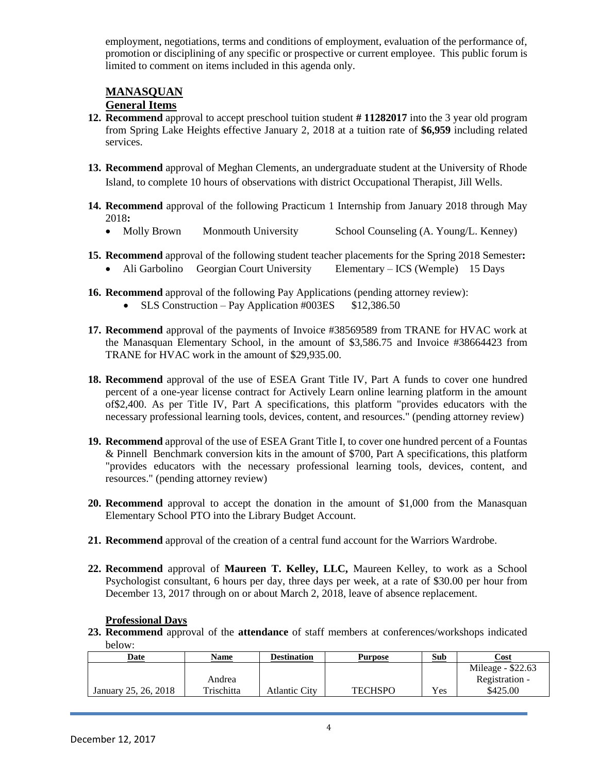employment, negotiations, terms and conditions of employment, evaluation of the performance of, promotion or disciplining of any specific or prospective or current employee. This public forum is limited to comment on items included in this agenda only.

# **MANASQUAN**

## **General Items**

- **12. Recommend** approval to accept preschool tuition student **# 11282017** into the 3 year old program from Spring Lake Heights effective January 2, 2018 at a tuition rate of **\$6,959** including related services.
- **13. Recommend** approval of Meghan Clements, an undergraduate student at the University of Rhode Island, to complete 10 hours of observations with district Occupational Therapist, Jill Wells.
- **14. Recommend** approval of the following Practicum 1 Internship from January 2018 through May 2018**:**
	- Molly Brown Monmouth University School Counseling (A. Young/L. Kenney)
- **15. Recommend** approval of the following student teacher placements for the Spring 2018 Semester**:** • Ali Garbolino Georgian Court University Elementary – ICS (Wemple) 15 Days
- **16. Recommend** approval of the following Pay Applications (pending attorney review):
	- SLS Construction Pay Application  $\text{\#003ES}$  \$12,386.50
- **17. Recommend** approval of the payments of Invoice #38569589 from TRANE for HVAC work at the Manasquan Elementary School, in the amount of \$3,586.75 and Invoice #38664423 from TRANE for HVAC work in the amount of \$29,935.00.
- **18. Recommend** approval of the use of ESEA Grant Title IV, Part A funds to cover one hundred percent of a one-year license contract for Actively Learn online learning platform in the amount of\$2,400. As per Title IV, Part A specifications, this platform "provides educators with the necessary professional learning tools, devices, content, and resources." (pending attorney review)
- **19. Recommend** approval of the use of ESEA Grant Title I, to cover one hundred percent of a Fountas & Pinnell Benchmark conversion kits in the amount of \$700, Part A specifications, this platform "provides educators with the necessary professional learning tools, devices, content, and resources." (pending attorney review)
- **20. Recommend** approval to accept the donation in the amount of \$1,000 from the Manasquan Elementary School PTO into the Library Budget Account.
- **21. Recommend** approval of the creation of a central fund account for the Warriors Wardrobe.
- **22. Recommend** approval of **Maureen T. Kelley, LLC,** Maureen Kelley, to work as a School Psychologist consultant, 6 hours per day, three days per week, at a rate of \$30.00 per hour from December 13, 2017 through on or about March 2, 2018, leave of absence replacement.

## **Professional Days**

**23. Recommend** approval of the **attendance** of staff members at conferences/workshops indicated below:

| Date                 | <b>Name</b> | <b>Destination</b> | <b>Purpose</b> | Sub        | Cost              |
|----------------------|-------------|--------------------|----------------|------------|-------------------|
|                      |             |                    |                |            | Mileage - \$22.63 |
|                      | Andrea      |                    |                |            | Registration -    |
| January 25, 26, 2018 | Trischitta  | Atlantic City      | TECHSPO        | <b>Yes</b> | \$425.00          |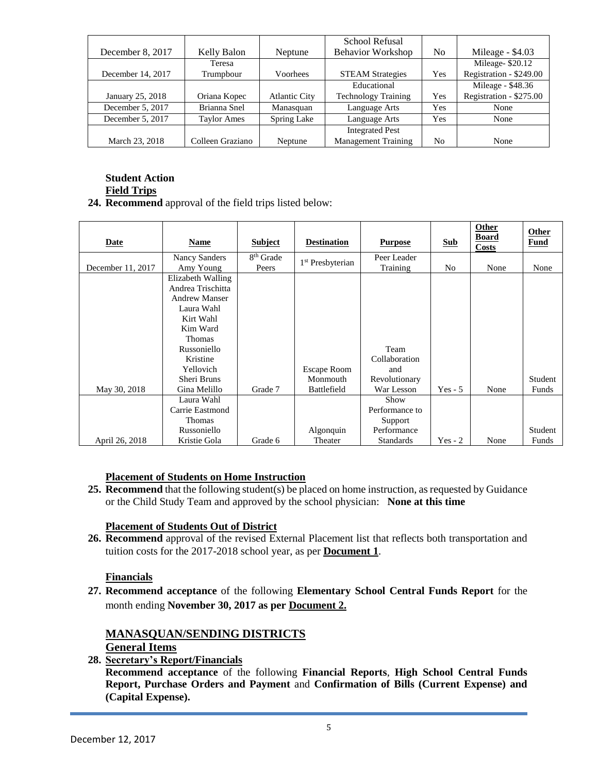|                   |                    |                      | School Refusal             |                |                         |
|-------------------|--------------------|----------------------|----------------------------|----------------|-------------------------|
| December 8, 2017  | Kelly Balon        | Neptune              | <b>Behavior Workshop</b>   | N <sub>0</sub> | Mileage - \$4.03        |
|                   | Teresa             |                      |                            |                | Mileage-\$20.12         |
| December 14, 2017 | Trumpbour          | <b>Voorhees</b>      | <b>STEAM Strategies</b>    | Yes            | Registration - \$249.00 |
|                   |                    |                      | Educational                |                | Mileage - \$48.36       |
| January 25, 2018  | Oriana Kopec       | <b>Atlantic City</b> | <b>Technology Training</b> | Yes            | Registration - \$275.00 |
| December 5, 2017  | Brianna Snel       | Manasquan            | Language Arts              | Yes            | None                    |
| December 5, 2017  | <b>Taylor Ames</b> | Spring Lake          | Language Arts              | Yes            | None                    |
|                   |                    |                      | <b>Integrated Pest</b>     |                |                         |
| March 23, 2018    | Colleen Graziano   | Neptune              | <b>Management Training</b> | N <sub>0</sub> | None                    |

#### **Student Action Field Trips**

**24. Recommend** approval of the field trips listed below:

| <b>Date</b>       | <b>Name</b>          | <b>Subject</b>        | <b>Destination</b>           | <b>Purpose</b>   | <b>Sub</b> | Other<br><b>Board</b><br>Costs | Other<br><b>Fund</b> |
|-------------------|----------------------|-----------------------|------------------------------|------------------|------------|--------------------------------|----------------------|
|                   | <b>Nancy Sanders</b> | 8 <sup>th</sup> Grade | 1 <sup>st</sup> Presbyterian | Peer Leader      |            |                                |                      |
| December 11, 2017 | Amy Young            | Peers                 |                              | Training         | No         | None                           | None                 |
|                   | Elizabeth Walling    |                       |                              |                  |            |                                |                      |
|                   | Andrea Trischitta    |                       |                              |                  |            |                                |                      |
|                   | <b>Andrew Manser</b> |                       |                              |                  |            |                                |                      |
|                   | Laura Wahl           |                       |                              |                  |            |                                |                      |
|                   | Kirt Wahl            |                       |                              |                  |            |                                |                      |
|                   | Kim Ward             |                       |                              |                  |            |                                |                      |
|                   | <b>Thomas</b>        |                       |                              |                  |            |                                |                      |
|                   | Russoniello          |                       |                              | Team             |            |                                |                      |
|                   | Kristine             |                       |                              | Collaboration    |            |                                |                      |
|                   | Yellovich            |                       | <b>Escape Room</b>           | and              |            |                                |                      |
|                   | Sheri Bruns          |                       | Monmouth                     | Revolutionary    |            |                                | Student              |
| May 30, 2018      | Gina Melillo         | Grade 7               | Battlefield                  | War Lesson       | $Yes - 5$  | None                           | Funds                |
|                   | Laura Wahl           |                       |                              | Show             |            |                                |                      |
|                   | Carrie Eastmond      |                       |                              | Performance to   |            |                                |                      |
|                   | Thomas               |                       |                              | Support          |            |                                |                      |
|                   | Russoniello          |                       | Algonquin                    | Performance      |            |                                | Student              |
| April 26, 2018    | Kristie Gola         | Grade 6               | Theater                      | <b>Standards</b> | $Yes - 2$  | None                           | Funds                |

## **Placement of Students on Home Instruction**

**25. Recommend** that the following student(s) be placed on home instruction, as requested by Guidance or the Child Study Team and approved by the school physician: **None at this time**

## **Placement of Students Out of District**

**26. Recommend** approval of the revised External Placement list that reflects both transportation and tuition costs for the 2017-2018 school year, as per **Document 1**.

## **Financials**

**27. Recommend acceptance** of the following **Elementary School Central Funds Report** for the month ending **November 30, 2017 as per Document 2.**

## **MANASQUAN/SENDING DISTRICTS**

**General Items**

**28. Secretary's Report/Financials**

**Recommend acceptance** of the following **Financial Reports**, **High School Central Funds Report, Purchase Orders and Payment** and **Confirmation of Bills (Current Expense) and (Capital Expense).**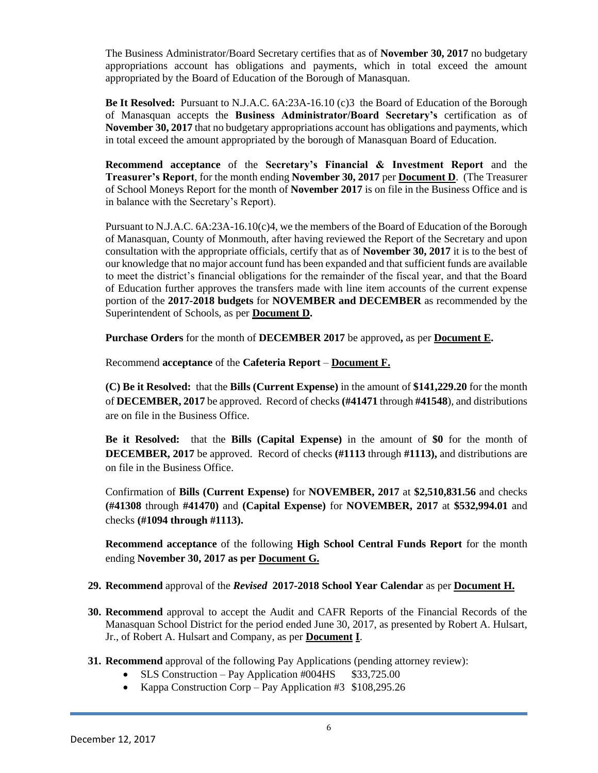The Business Administrator/Board Secretary certifies that as of **November 30, 2017** no budgetary appropriations account has obligations and payments, which in total exceed the amount appropriated by the Board of Education of the Borough of Manasquan.

**Be It Resolved:** Pursuant to N.J.A.C. 6A:23A-16.10 (c)3 the Board of Education of the Borough of Manasquan accepts the **Business Administrator/Board Secretary's** certification as of **November 30, 2017** that no budgetary appropriations account has obligations and payments, which in total exceed the amount appropriated by the borough of Manasquan Board of Education.

**Recommend acceptance** of the **Secretary's Financial & Investment Report** and the **Treasurer's Report**, for the month ending **November 30, 2017** per **Document D**. (The Treasurer of School Moneys Report for the month of **November 2017** is on file in the Business Office and is in balance with the Secretary's Report).

Pursuant to N.J.A.C. 6A:23A-16.10(c)4, we the members of the Board of Education of the Borough of Manasquan, County of Monmouth, after having reviewed the Report of the Secretary and upon consultation with the appropriate officials, certify that as of **November 30, 2017** it is to the best of our knowledge that no major account fund has been expanded and that sufficient funds are available to meet the district's financial obligations for the remainder of the fiscal year, and that the Board of Education further approves the transfers made with line item accounts of the current expense portion of the **2017-2018 budgets** for **NOVEMBER and DECEMBER** as recommended by the Superintendent of Schools, as per **Document D.**

**Purchase Orders** for the month of **DECEMBER 2017** be approved**,** as per **Document E.**

Recommend **acceptance** of the **Cafeteria Report** – **Document F.**

**(C) Be it Resolved:** that the **Bills (Current Expense)** in the amount of **\$141,229.20** for the month of **DECEMBER, 2017** be approved. Record of checks **(#41471** through **#41548**), and distributions are on file in the Business Office.

**Be it Resolved:** that the **Bills (Capital Expense)** in the amount of **\$0** for the month of **DECEMBER, 2017** be approved. Record of checks **(#1113** through **#1113),** and distributions are on file in the Business Office.

Confirmation of **Bills (Current Expense)** for **NOVEMBER, 2017** at **\$2,510,831.56** and checks **(#41308** through **#41470)** and **(Capital Expense)** for **NOVEMBER, 2017** at **\$532,994.01** and checks **(#1094 through #1113).**

**Recommend acceptance** of the following **High School Central Funds Report** for the month ending **November 30, 2017 as per Document G.**

## **29. Recommend** approval of the *Revised* **2017-2018 School Year Calendar** as per **Document H.**

- **30. Recommend** approval to accept the Audit and CAFR Reports of the Financial Records of the Manasquan School District for the period ended June 30, 2017, as presented by Robert A. Hulsart, Jr., of Robert A. Hulsart and Company, as per **Document I**.
- **31. Recommend** approval of the following Pay Applications (pending attorney review):
	- $\bullet$  SLS Construction Pay Application #004HS  $$33,725.00$
	- Kappa Construction Corp Pay Application #3  $$108,295.26$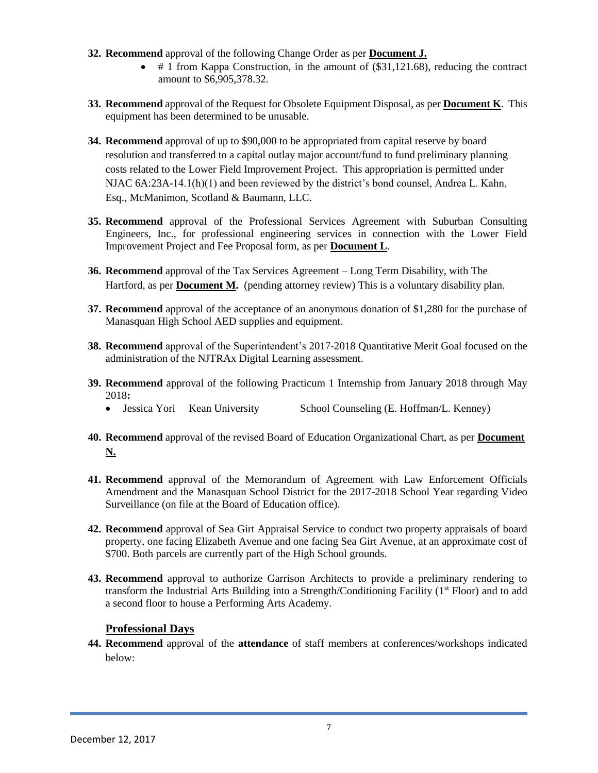- **32. Recommend** approval of the following Change Order as per **Document J.** 
	- $\bullet$  # 1 from Kappa Construction, in the amount of (\$31,121.68), reducing the contract amount to \$6,905,378.32.
- **33. Recommend** approval of the Request for Obsolete Equipment Disposal, as per **Document K**. This equipment has been determined to be unusable.
- **34. Recommend** approval of up to \$90,000 to be appropriated from capital reserve by board resolution and transferred to a capital outlay major account/fund to fund preliminary planning costs related to the Lower Field Improvement Project. This appropriation is permitted under NJAC 6A:23A-14.1(h)(1) and been reviewed by the district's bond counsel, Andrea L. Kahn, Esq., McManimon, Scotland & Baumann, LLC.
- **35. Recommend** approval of the Professional Services Agreement with Suburban Consulting Engineers, Inc., for professional engineering services in connection with the Lower Field Improvement Project and Fee Proposal form, as per **Document L**.
- **36. Recommend** approval of the Tax Services Agreement Long Term Disability, with The Hartford, as per **Document M.** (pending attorney review) This is a voluntary disability plan.
- **37. Recommend** approval of the acceptance of an anonymous donation of \$1,280 for the purchase of Manasquan High School AED supplies and equipment.
- **38. Recommend** approval of the Superintendent's 2017-2018 Quantitative Merit Goal focused on the administration of the NJTRAx Digital Learning assessment.
- **39. Recommend** approval of the following Practicum 1 Internship from January 2018 through May 2018**:**
	- Jessica Yori Kean University School Counseling (E. Hoffman/L. Kenney)
- **40. Recommend** approval of the revised Board of Education Organizational Chart, as per **Document N.**
- **41. Recommend** approval of the Memorandum of Agreement with Law Enforcement Officials Amendment and the Manasquan School District for the 2017-2018 School Year regarding Video Surveillance (on file at the Board of Education office).
- **42. Recommend** approval of Sea Girt Appraisal Service to conduct two property appraisals of board property, one facing Elizabeth Avenue and one facing Sea Girt Avenue, at an approximate cost of \$700. Both parcels are currently part of the High School grounds.
- **43. Recommend** approval to authorize Garrison Architects to provide a preliminary rendering to transform the Industrial Arts Building into a Strength/Conditioning Facility (1<sup>st</sup> Floor) and to add a second floor to house a Performing Arts Academy.

## **Professional Days**

**44. Recommend** approval of the **attendance** of staff members at conferences/workshops indicated below: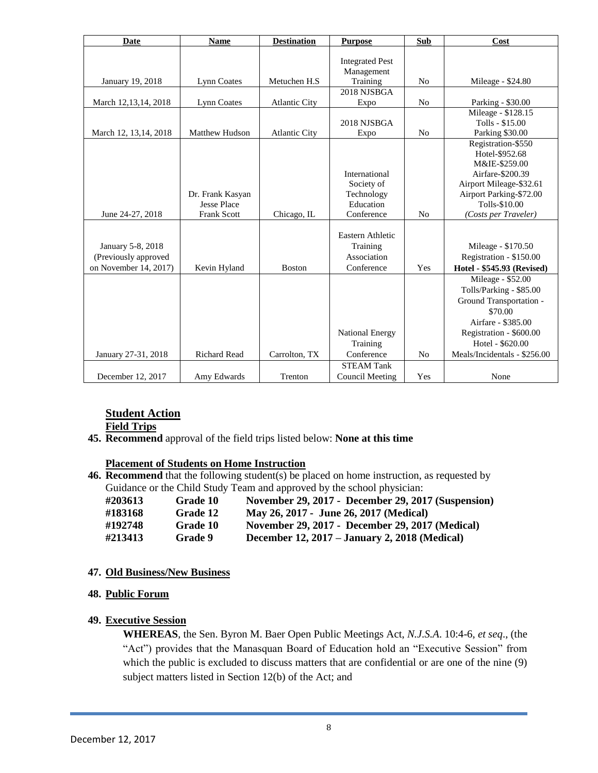| <b>Date</b>            | <b>Name</b>           | <b>Destination</b>   | <b>Purpose</b>         | Sub            | Cost                              |
|------------------------|-----------------------|----------------------|------------------------|----------------|-----------------------------------|
|                        |                       |                      | <b>Integrated Pest</b> |                |                                   |
|                        |                       |                      | Management             |                |                                   |
| January 19, 2018       | <b>Lynn Coates</b>    | Metuchen H.S         | Training               | No             | Mileage - \$24.80                 |
|                        |                       |                      | 2018 NJSBGA            |                |                                   |
| March 12,13,14, 2018   | Lynn Coates           | <b>Atlantic City</b> | Expo                   | N <sub>0</sub> | Parking - \$30.00                 |
|                        |                       |                      |                        |                | Mileage - \$128.15                |
|                        |                       |                      | 2018 NJSBGA            |                | Tolls - \$15.00                   |
| March 12, 13, 14, 2018 | <b>Matthew Hudson</b> | <b>Atlantic City</b> | Expo                   | N <sub>0</sub> | Parking \$30.00                   |
|                        |                       |                      |                        |                | Registration-\$550                |
|                        |                       |                      |                        |                | Hotel-\$952.68                    |
|                        |                       |                      | International          |                | M&IE-\$259.00<br>Airfare-\$200.39 |
|                        |                       |                      | Society of             |                | Airport Mileage-\$32.61           |
|                        | Dr. Frank Kasyan      |                      | Technology             |                | Airport Parking-\$72.00           |
|                        | <b>Jesse Place</b>    |                      | Education              |                | Tolls-\$10.00                     |
| June 24-27, 2018       | <b>Frank Scott</b>    | Chicago, IL          | Conference             | N <sub>0</sub> | (Costs per Traveler)              |
|                        |                       |                      |                        |                |                                   |
|                        |                       |                      | Eastern Athletic       |                |                                   |
| January 5-8, 2018      |                       |                      | Training               |                | Mileage - \$170.50                |
| (Previously approved   |                       |                      | Association            |                | Registration - \$150.00           |
| on November 14, 2017)  | Kevin Hyland          | <b>Boston</b>        | Conference             | Yes            | Hotel - \$545.93 (Revised)        |
|                        |                       |                      |                        |                | Mileage - \$52.00                 |
|                        |                       |                      |                        |                | Tolls/Parking - \$85.00           |
|                        |                       |                      |                        |                | Ground Transportation -           |
|                        |                       |                      |                        |                | \$70.00                           |
|                        |                       |                      |                        |                | Airfare - \$385.00                |
|                        |                       |                      | <b>National Energy</b> |                | Registration - \$600.00           |
|                        |                       |                      | Training               |                | Hotel - \$620.00                  |
| January 27-31, 2018    | <b>Richard Read</b>   | Carrolton, TX        | Conference             | N <sub>0</sub> | Meals/Incidentals - \$256.00      |
|                        |                       |                      | <b>STEAM Tank</b>      |                |                                   |
| December 12, 2017      | Amy Edwards           | Trenton              | Council Meeting        | Yes            | None                              |

## **Student Action**

**Field Trips**

**45. Recommend** approval of the field trips listed below: **None at this time**

## **Placement of Students on Home Instruction**

**46. Recommend** that the following student(s) be placed on home instruction, as requested by Guidance or the Child Study Team and approved by the school physician:

| #203613 | Grade 10 | November 29, 2017 - December 29, 2017 (Suspension) |
|---------|----------|----------------------------------------------------|
| #183168 | Grade 12 | May 26, 2017 - June 26, 2017 (Medical)             |
| #192748 | Grade 10 | November 29, 2017 - December 29, 2017 (Medical)    |
| #213413 | Grade 9  | December 12, 2017 – January 2, 2018 (Medical)      |

#### **47. Old Business/New Business**

**48. Public Forum**

## **49. Executive Session**

**WHEREAS**, the Sen. Byron M. Baer Open Public Meetings Act, *N.J.S.A*. 10:4-6, *et seq*., (the "Act") provides that the Manasquan Board of Education hold an "Executive Session" from which the public is excluded to discuss matters that are confidential or are one of the nine (9) subject matters listed in Section 12(b) of the Act; and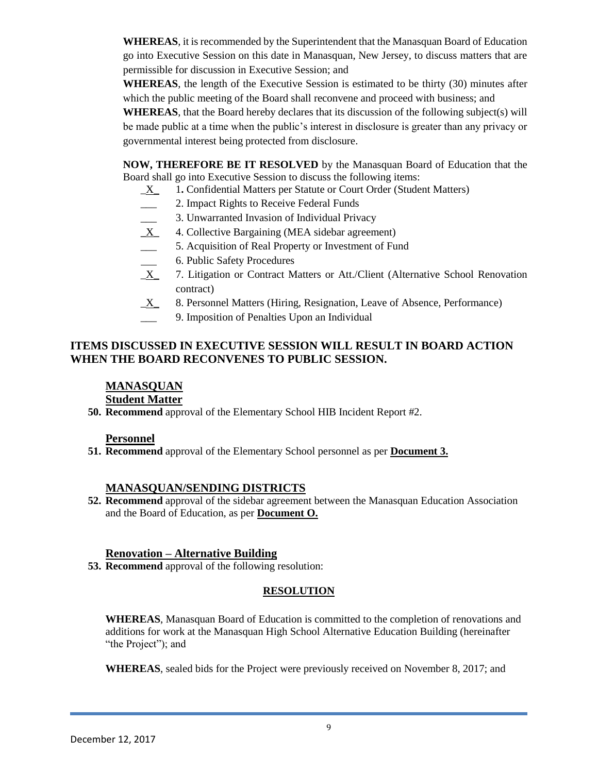**WHEREAS**, it is recommended by the Superintendent that the Manasquan Board of Education go into Executive Session on this date in Manasquan, New Jersey, to discuss matters that are permissible for discussion in Executive Session; and

**WHEREAS**, the length of the Executive Session is estimated to be thirty (30) minutes after which the public meeting of the Board shall reconvene and proceed with business; and

**WHEREAS**, that the Board hereby declares that its discussion of the following subject(s) will be made public at a time when the public's interest in disclosure is greater than any privacy or governmental interest being protected from disclosure.

**NOW, THEREFORE BE IT RESOLVED** by the Manasquan Board of Education that the Board shall go into Executive Session to discuss the following items:

- \_X\_ 1**.** Confidential Matters per Statute or Court Order (Student Matters)
- 2. Impact Rights to Receive Federal Funds
- \_\_\_ 3. Unwarranted Invasion of Individual Privacy
- \_X\_ 4. Collective Bargaining (MEA sidebar agreement)
- \_\_\_ 5. Acquisition of Real Property or Investment of Fund
- <sup>6</sup>. Public Safety Procedures
- X 7. Litigation or Contract Matters or Att./Client (Alternative School Renovation contract)
- $\underline{X}$  8. Personnel Matters (Hiring, Resignation, Leave of Absence, Performance)
- 9. Imposition of Penalties Upon an Individual

## **ITEMS DISCUSSED IN EXECUTIVE SESSION WILL RESULT IN BOARD ACTION WHEN THE BOARD RECONVENES TO PUBLIC SESSION.**

## **MANASQUAN**

## **Student Matter**

**50. Recommend** approval of the Elementary School HIB Incident Report #2.

#### **Personnel**

**51. Recommend** approval of the Elementary School personnel as per **Document 3.**

#### **MANASQUAN/SENDING DISTRICTS**

**52. Recommend** approval of the sidebar agreement between the Manasquan Education Association and the Board of Education, as per **Document O.**

#### **Renovation – Alternative Building**

**53. Recommend** approval of the following resolution:

## **RESOLUTION**

**WHEREAS**, Manasquan Board of Education is committed to the completion of renovations and additions for work at the Manasquan High School Alternative Education Building (hereinafter "the Project"); and

**WHEREAS**, sealed bids for the Project were previously received on November 8, 2017; and